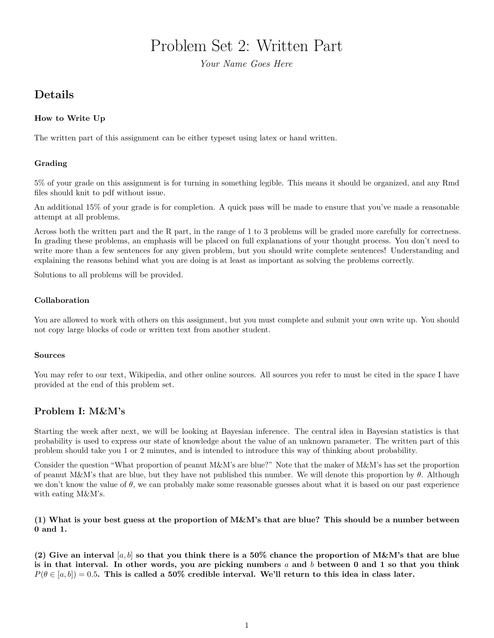# Problem Set 2: Written Part

*Your Name Goes Here*

## **Details**

#### **How to Write Up**

The written part of this assignment can be either typeset using latex or hand written.

#### **Grading**

5% of your grade on this assignment is for turning in something legible. This means it should be organized, and any Rmd files should knit to pdf without issue.

An additional 15% of your grade is for completion. A quick pass will be made to ensure that you've made a reasonable attempt at all problems.

Across both the written part and the R part, in the range of 1 to 3 problems will be graded more carefully for correctness. In grading these problems, an emphasis will be placed on full explanations of your thought process. You don't need to write more than a few sentences for any given problem, but you should write complete sentences! Understanding and explaining the reasons behind what you are doing is at least as important as solving the problems correctly.

Solutions to all problems will be provided.

#### **Collaboration**

You are allowed to work with others on this assignment, but you must complete and submit your own write up. You should not copy large blocks of code or written text from another student.

#### **Sources**

You may refer to our text, Wikipedia, and other online sources. All sources you refer to must be cited in the space I have provided at the end of this problem set.

### **Problem I: M&M's**

Starting the week after next, we will be looking at Bayesian inference. The central idea in Bayesian statistics is that probability is used to express our state of knowledge about the value of an unknown parameter. The written part of this problem should take you 1 or 2 minutes, and is intended to introduce this way of thinking about probability.

Consider the question "What proportion of peanut M&M's are blue?" Note that the maker of M&M's has set the proportion of peanut M&M's that are blue, but they have not published this number. We will denote this proportion by *θ*. Although we don't know the value of  $\theta$ , we can probably make some reasonable guesses about what it is based on our past experience with eating M&M's.

**(1) What is your best guess at the proportion of M&M's that are blue? This should be a number between 0 and 1.**

**(2) Give an interval** [*a, b*] **so that you think there is a 50% chance the proportion of M&M's that are blue is in that interval. In other words, you are picking numbers** *a* **and** *b* **between 0 and 1 so that you think**  $P(\theta \in [a, b]) = 0.5$ . This is called a 50% credible interval. We'll return to this idea in class later.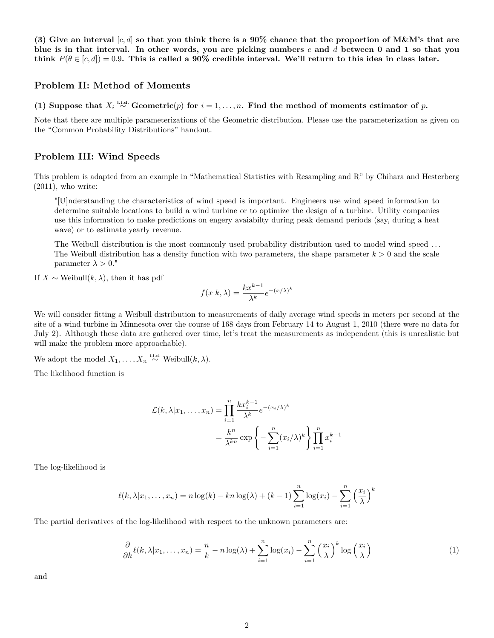**(3) Give an interval** [*c, d*] **so that you think there is a 90% chance that the proportion of M&M's that are blue is in that interval. In other words, you are picking numbers** *c* **and** *d* **between 0 and 1 so that you** think  $P(\theta \in [c, d]) = 0.9$ . This is called a 90% credible interval. We'll return to this idea in class later.

#### **Problem II: Method of Moments**

**(1) Suppose that**  $X_i \stackrel{i.i.d.}{\sim}$  Geometric $(p)$  for  $i = 1, ..., n$ . Find the method of moments estimator of *p*.

Note that there are multiple parameterizations of the Geometric distribution. Please use the parameterization as given on the "Common Probability Distributions" handout.

#### **Problem III: Wind Speeds**

This problem is adapted from an example in "Mathematical Statistics with Resampling and R" by Chihara and Hesterberg  $(2011)$ , who write:

"[U]nderstanding the characteristics of wind speed is important. Engineers use wind speed information to determine suitable locations to build a wind turbine or to optimize the design of a turbine. Utility companies use this information to make predictions on engery avaiabilty during peak demand periods (say, during a heat wave) or to estimate yearly revenue.

The Weibull distribution is the most commonly used probability distribution used to model wind speed . . . The Weibull distribution has a density function with two parameters, the shape parameter  $k > 0$  and the scale parameter  $\lambda > 0$ ."

If  $X \sim$  Weibull $(k, \lambda)$ , then it has pdf

$$
f(x|k,\lambda) = \frac{kx^{k-1}}{\lambda^k}e^{-(x/\lambda)^k}
$$

We will consider fitting a Weibull distribution to measurements of daily average wind speeds in meters per second at the site of a wind turbine in Minnesota over the course of 168 days from February 14 to August 1, 2010 (there were no data for July 2). Although these data are gathered over time, let's treat the measurements as independent (this is unrealistic but will make the problem more approachable).

We adopt the model  $X_1, \ldots, X_n \stackrel{\text{i.i.d.}}{\sim}$  Weibull $(k, \lambda)$ .

The likelihood function is

$$
\mathcal{L}(k, \lambda | x_1, \dots, x_n) = \prod_{i=1}^n \frac{k x_i^{k-1}}{\lambda^k} e^{-(x_i/\lambda)^k}
$$

$$
= \frac{k^n}{\lambda^{kn}} \exp \left\{-\sum_{i=1}^n (x_i/\lambda)^k\right\} \prod_{i=1}^n x_i^{k-1}
$$

The log-likelihood is

$$
\ell(k, \lambda | x_1, \dots, x_n) = n \log(k) - kn \log(\lambda) + (k-1) \sum_{i=1}^n \log(x_i) - \sum_{i=1}^n \left(\frac{x_i}{\lambda}\right)^k
$$

The partial derivatives of the log-likelihood with respect to the unknown parameters are:

<span id="page-1-0"></span>
$$
\frac{\partial}{\partial k}\ell(k,\lambda|x_1,\ldots,x_n) = \frac{n}{k} - n\log(\lambda) + \sum_{i=1}^n \log(x_i) - \sum_{i=1}^n \left(\frac{x_i}{\lambda}\right)^k \log\left(\frac{x_i}{\lambda}\right) \tag{1}
$$

and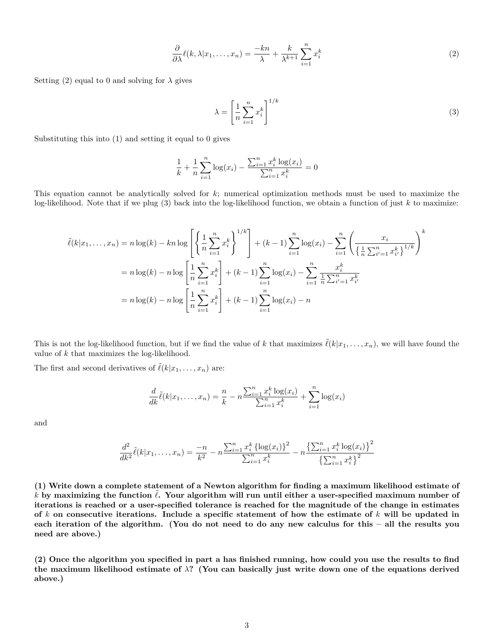<span id="page-2-0"></span>
$$
\frac{\partial}{\partial \lambda} \ell(k, \lambda | x_1, \dots, x_n) = \frac{-kn}{\lambda} + \frac{k}{\lambda^{k+1}} \sum_{i=1}^n x_i^k \tag{2}
$$

Setting [\(2\)](#page-2-0) equal to 0 and solving for  $\lambda$  gives

<span id="page-2-1"></span>
$$
\lambda = \left[\frac{1}{n}\sum_{i=1}^{n}x_i^k\right]^{1/k} \tag{3}
$$

Substituting this into [\(1\)](#page-1-0) and setting it equal to 0 gives

$$
\frac{1}{k} + \frac{1}{n} \sum_{i=1}^{n} \log(x_i) - \frac{\sum_{i=1}^{n} x_i^k \log(x_i)}{\sum_{i=1}^{n} x_i^k} = 0
$$

This equation cannot be analytically solved for *k*; numerical optimization methods must be used to maximize the log-likelihood. Note that if we plug [\(3\)](#page-2-1) back into the log-likelihood function, we obtain a function of just *k* to maximize:

$$
\tilde{\ell}(k|x_1,\ldots,x_n) = n \log(k) - kn \log\left[\left\{\frac{1}{n}\sum_{i=1}^n x_i^k\right\}^{1/k}\right] + (k-1)\sum_{i=1}^n \log(x_i) - \sum_{i=1}^n \left(\frac{x_i}{\left\{\frac{1}{n}\sum_{i'=1}^n x_{i'}^k\right\}^{1/k}}\right)^k
$$
\n
$$
= n \log(k) - n \log\left[\frac{1}{n}\sum_{i=1}^n x_i^k\right] + (k-1)\sum_{i=1}^n \log(x_i) - \sum_{i=1}^n \frac{x_i^k}{\frac{1}{n}\sum_{i'=1}^n x_{i'}^k}
$$
\n
$$
= n \log(k) - n \log\left[\frac{1}{n}\sum_{i=1}^n x_i^k\right] + (k-1)\sum_{i=1}^n \log(x_i) - n
$$

This is not the log-likelihood function, but if we find the value of *k* that maximizes  $\tilde{\ell}(k|x_1,\ldots,x_n)$ , we will have found the value of *k* that maximizes the log-likelihood.

The first and second derivatives of  $\tilde{\ell}(k|x_1,\ldots,x_n)$  are:

$$
\frac{d}{dk}\tilde{\ell}(k|x_1,\ldots,x_n) = \frac{n}{k} - n \frac{\sum_{i=1}^n x_i^k \log(x_i)}{\sum_{i=1}^n x_i^k} + \sum_{i=1}^n \log(x_i)
$$

and

$$
\frac{d^2}{dk^2}\tilde{\ell}(k|x_1,\ldots,x_n) = \frac{-n}{k^2} - n\frac{\sum_{i=1}^n x_i^k \left\{\log(x_i)\right\}^2}{\sum_{i=1}^n x_i^k} - n\frac{\left\{\sum_{i=1}^n x_i^k \log(x_i)\right\}^2}{\left\{\sum_{i=1}^n x_i^k\right\}^2}
$$

**(1) Write down a complete statement of a Newton algorithm for finding a maximum likelihood estimate of**  $k$  by maximizing the function  $\ell$ . Your algorithm will run until either a user-specified maximum number of **iterations is reached or a user-specified tolerance is reached for the magnitude of the change in estimates of** *k* **on consecutive iterations. Include a specific statement of how the estimate of** *k* **will be updated in each iteration of the algorithm. (You do not need to do any new calculus for this – all the results you need are above.)**

**(2) Once the algorithm you specified in part a has finished running, how could you use the results to find the maximum likelihood estimate of** *λ***? (You can basically just write down one of the equations derived above.)**